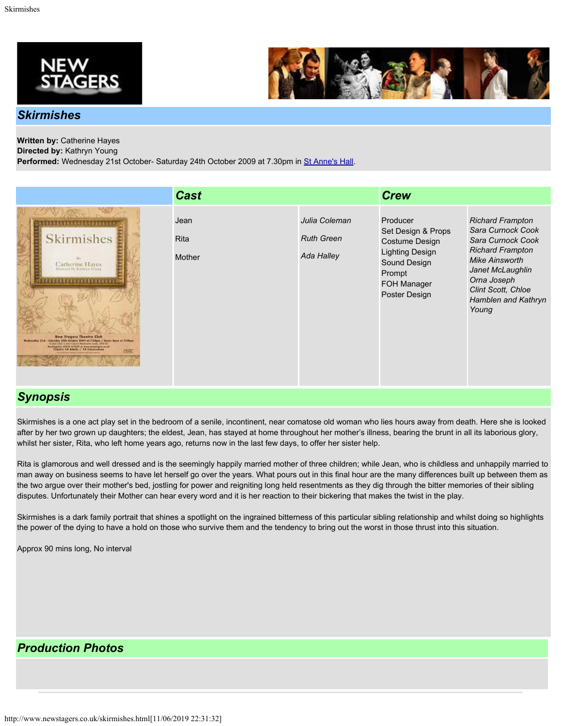



## *Skirmishes*

## **Written by:** Catherine Hayes

**Directed by:** Kathryn Young

Performed: Wednesday 21st October- Saturday 24th October 2009 at 7.30pm in [St Anne's Hall](http://www.newstagers.co.uk/directions.html).

|                                                                                                                                                                                                                                                                                                                                                                    | <b>Cast</b>                   |                                                  | <b>Crew</b>                                                                                                                                        |                                                                                                                                                                                                                       |
|--------------------------------------------------------------------------------------------------------------------------------------------------------------------------------------------------------------------------------------------------------------------------------------------------------------------------------------------------------------------|-------------------------------|--------------------------------------------------|----------------------------------------------------------------------------------------------------------------------------------------------------|-----------------------------------------------------------------------------------------------------------------------------------------------------------------------------------------------------------------------|
| <b>Skirmishes</b><br>Catherine Hayes<br>Directed By Kathren Yesser<br><b>******************</b><br><b>New Stegers Theolice Club</b><br>Nedeesday 21st - Saturday 24th October 2009 at Fridges / Deser Open of Pridges<br>St Avenuel Schaft Covers Westweek, suday of 8:30<br>Indiaglas CHI (CHI) o www.annispes.com<br>Hidrotte CE Adults / CE Constantino<br>nste | Jean<br><b>Rita</b><br>Mother | Julia Coleman<br><b>Ruth Green</b><br>Ada Halley | Producer<br>Set Design & Props<br><b>Costume Design</b><br><b>Lighting Design</b><br>Sound Design<br>Prompt<br><b>FOH Manager</b><br>Poster Design | <b>Richard Frampton</b><br>Sara Curnock Cook<br>Sara Curnock Cook<br><b>Richard Frampton</b><br><b>Mike Ainsworth</b><br>Janet McLaughlin<br>Orna Joseph<br><b>Clint Scott, Chloe</b><br>Hamblen and Kathryn<br>Young |

## *Synopsis*

Skirmishes is a one act play set in the bedroom of a senile, incontinent, near comatose old woman who lies hours away from death. Here she is looked after by her two grown up daughters; the eldest, Jean, has stayed at home throughout her mother's illness, bearing the brunt in all its laborious glory, whilst her sister, Rita, who left home years ago, returns now in the last few days, to offer her sister help.

Rita is glamorous and well dressed and is the seemingly happily married mother of three children; while Jean, who is childless and unhappily married to man away on business seems to have let herself go over the years. What pours out in this final hour are the many differences built up between them as the two argue over their mother's bed, jostling for power and reigniting long held resentments as they dig through the bitter memories of their sibling disputes. Unfortunately their Mother can hear every word and it is her reaction to their bickering that makes the twist in the play.

Skirmishes is a dark family portrait that shines a spotlight on the ingrained bitterness of this particular sibling relationship and whilst doing so highlights the power of the dying to have a hold on those who survive them and the tendency to bring out the worst in those thrust into this situation.

Approx 90 mins long, No interval

## *Production Photos*